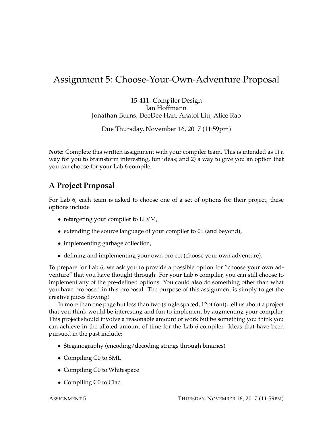## Assignment 5: Choose-Your-Own-Adventure Proposal

15-411: Compiler Design Jan Hoffmann Jonathan Burns, DeeDee Han, Anatol Liu, Alice Rao

Due Thursday, November 16, 2017 (11:59pm)

**Note:** Complete this written assignment with your compiler team. This is intended as 1) a way for you to brainstorm interesting, fun ideas; and 2) a way to give you an option that you can choose for your Lab 6 compiler.

## **A Project Proposal**

For Lab 6, each team is asked to choose one of a set of options for their project; these options include

- retargeting your compiler to LLVM,
- extending the source language of your compiler to C1 (and beyond),
- implementing garbage collection,
- defining and implementing your own project (choose your own adventure).

To prepare for Lab 6, we ask you to provide a possible option for "choose your own adventure" that you have thought through. For your Lab 6 compiler, you can still choose to implement any of the pre-defined options. You could also do something other than what you have proposed in this proposal. The purpose of this assignment is simply to get the creative juices flowing!

In more than one page but less than two (single spaced, 12pt font), tell us about a project that you think would be interesting and fun to implement by augmenting your compiler. This project should involve a reasonable amount of work but be something you think you can achieve in the alloted amount of time for the Lab 6 compiler. Ideas that have been pursued in the past include:

- Steganography (encoding/decoding strings through binaries)
- Compiling C0 to SML
- Compiling C0 to Whitespace
- Compiling C0 to Clac